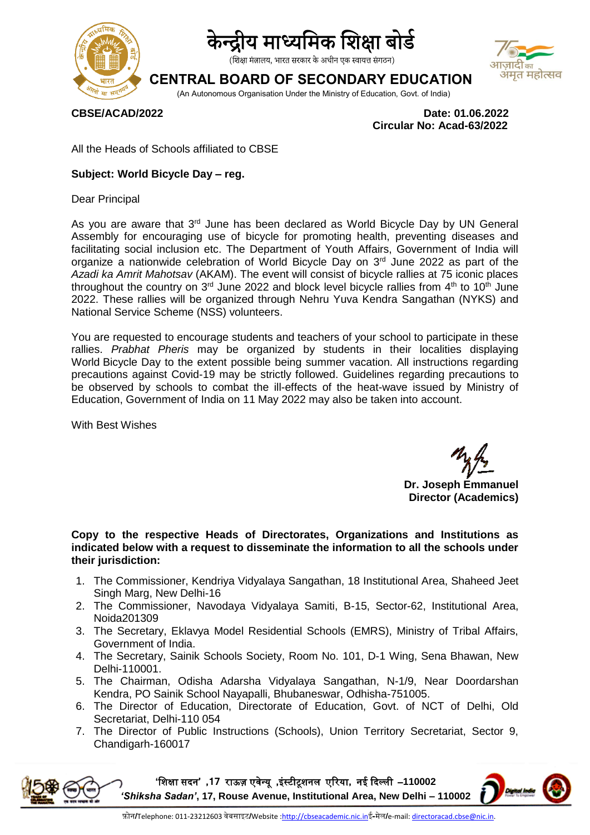

# । माध्यमिक शिक्षा बोर्ड

(शिक्षा मंत्रालय, भारत सरकार के अधीन एक स्वायत्त संगठन)

### **CENTRAL BOARD OF SECONDARY EDUCATION**



(An Autonomous Organisation Under the Ministry of Education, Govt. of India)

**CBSE/ACAD/2022 Date: 01.06.2022 Circular No: Acad-63/2022**

All the Heads of Schools affiliated to CBSE

#### **Subject: World Bicycle Day – reg.**

Dear Principal

As you are aware that  $3<sup>rd</sup>$  June has been declared as World Bicycle Day by UN General Assembly for encouraging use of bicycle for promoting health, preventing diseases and facilitating social inclusion etc. The Department of Youth Affairs, Government of India will organize a nationwide celebration of World Bicycle Day on 3<sup>rd</sup> June 2022 as part of the *Azadi ka Amrit Mahotsav* (AKAM). The event will consist of bicycle rallies at 75 iconic places throughout the country on  $3<sup>rd</sup>$  June 2022 and block level bicycle rallies from  $4<sup>th</sup>$  to 10<sup>th</sup> June 2022. These rallies will be organized through Nehru Yuva Kendra Sangathan (NYKS) and National Service Scheme (NSS) volunteers.

You are requested to encourage students and teachers of your school to participate in these rallies. *Prabhat Pheris* may be organized by students in their localities displaying World Bicycle Day to the extent possible being summer vacation. All instructions regarding precautions against Covid-19 may be strictly followed. Guidelines regarding precautions to be observed by schools to combat the ill-effects of the heat-wave issued by Ministry of Education, Government of India on 11 May 2022 may also be taken into account.

With Best Wishes

**Dr. Joseph Emmanuel Director (Academics)**

**Copy to the respective Heads of Directorates, Organizations and Institutions as indicated below with a request to disseminate the information to all the schools under their jurisdiction:** 

- 1. The Commissioner, Kendriya Vidyalaya Sangathan, 18 Institutional Area, Shaheed Jeet Singh Marg, New Delhi-16
- 2. The Commissioner, Navodaya Vidyalaya Samiti, B-15, Sector-62, Institutional Area, Noida201309
- 3. The Secretary, Eklavya Model Residential Schools (EMRS), Ministry of Tribal Affairs, Government of India.
- 4. The Secretary, Sainik Schools Society, Room No. 101, D-1 Wing, Sena Bhawan, New Delhi-110001.
- 5. The Chairman, Odisha Adarsha Vidyalaya Sangathan, N-1/9, Near Doordarshan Kendra, PO Sainik School Nayapalli, Bhubaneswar, Odhisha-751005.
- 6. The Director of Education, Directorate of Education, Govt. of NCT of Delhi, Old Secretariat, Delhi-110 054
- 7. The Director of Public Instructions (Schools), Union Territory Secretariat, Sector 9, Chandigarh-160017

**'**शिक्षा सदन**' ,71** राऊज़ एवेन्यू **,**इंस्टीटूिनम एररया**,** नई ददल्मी –**110002**  *'Shiksha Sadan'***, 17, Rouse Avenue, Institutional Area, New Delhi – 110002**